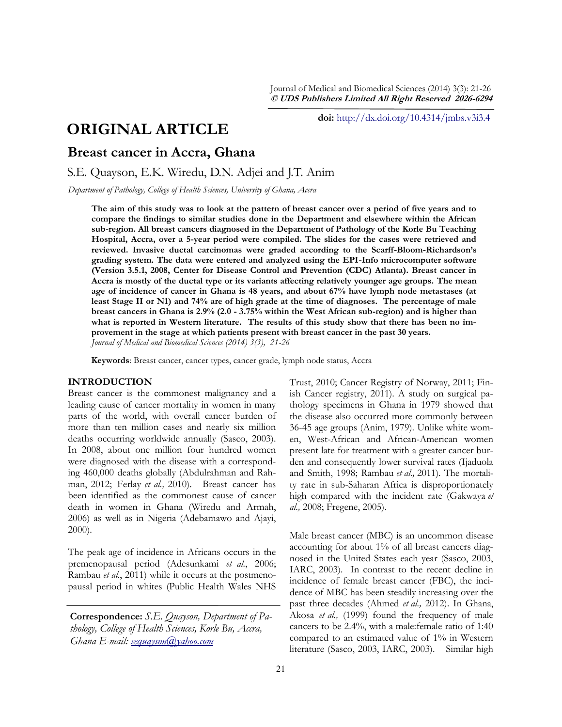Journal of Medical and Biomedical Sciences (2014) 3(3): 21-26 **© UDS Publishers Limited All Right Reserved 2026-6294**

# **ORIGINAL ARTICLE**

**doi:** [http://dx.doi.org/10.4314/jmbs.v3i3.4](http://dx.doi.org/10.4314/jmbs.v2i4.1)

## **Breast cancer in Accra, Ghana**

S.E. Quayson, E.K. Wiredu, D.N. Adjei and J.T. Anim

*Department of Pathology, College of Health Sciences, University of Ghana, Accra*

**The aim of this study was to look at the pattern of breast cancer over a period of five years and to compare the findings to similar studies done in the Department and elsewhere within the African sub-region. All breast cancers diagnosed in the Department of Pathology of the Korle Bu Teaching Hospital, Accra, over a 5-year period were compiled. The slides for the cases were retrieved and reviewed. Invasive ductal carcinomas were graded according to the Scarff-Bloom-Richardson's grading system. The data were entered and analyzed using the EPI-Info microcomputer software (Version 3.5.1, 2008, Center for Disease Control and Prevention (CDC) Atlanta). Breast cancer in Accra is mostly of the ductal type or its variants affecting relatively younger age groups. The mean age of incidence of cancer in Ghana is 48 years, and about 67% have lymph node metastases (at least Stage II or N1) and 74% are of high grade at the time of diagnoses. The percentage of male breast cancers in Ghana is 2.9% (2.0 - 3.75% within the West African sub-region) and is higher than what is reported in Western literature. The results of this study show that there has been no improvement in the stage at which patients present with breast cancer in the past 30 years.** *Journal of Medical and Biomedical Sciences (2014) 3(3), 21-26*

**Keywords**: Breast cancer, cancer types, cancer grade, lymph node status, Accra

## **INTRODUCTION**

Breast cancer is the commonest malignancy and a leading cause of cancer mortality in women in many parts of the world, with overall cancer burden of more than ten million cases and nearly six million deaths occurring worldwide annually (Sasco, 2003). In 2008, about one million four hundred women were diagnosed with the disease with a corresponding 460,000 deaths globally (Abdulrahman and Rahman, 2012; Ferlay *et al.,* 2010). Breast cancer has been identified as the commonest cause of cancer death in women in Ghana (Wiredu and Armah, 2006) as well as in Nigeria (Adebamawo and Ajayi, 2000).

The peak age of incidence in Africans occurs in the premenopausal period (Adesunkami *et al.*, 2006; Rambau *et al.*, 2011) while it occurs at the postmenopausal period in whites (Public Health Wales NHS

**Correspondence:** *S.E. Quayson, Department of Pathology, College of Health Sciences, Korle Bu, Accra, Ghana E-mail: [sequayson@yahoo.com](mailto:sequayson@yahoo.com)*

Trust, 2010; Cancer Registry of Norway, 2011; Finish Cancer registry, 2011). A study on surgical pathology specimens in Ghana in 1979 showed that the disease also occurred more commonly between 36-45 age groups (Anim, 1979). Unlike white women, West-African and African-American women present late for treatment with a greater cancer burden and consequently lower survival rates (Ijaduola and Smith, 1998; Rambau *et al.,* 2011). The mortality rate in sub-Saharan Africa is disproportionately high compared with the incident rate (Gakwaya *et al.,* 2008; Fregene, 2005).

Male breast cancer (MBC) is an uncommon disease accounting for about 1% of all breast cancers diagnosed in the United States each year (Sasco, 2003, IARC, 2003). In contrast to the recent decline in incidence of female breast cancer (FBC), the incidence of MBC has been steadily increasing over the past three decades (Ahmed *et al.,* 2012). In Ghana, Akosa *et al.,* (1999) found the frequency of male cancers to be 2.4%, with a male:female ratio of 1:40 compared to an estimated value of 1% in Western literature (Sasco, 2003, IARC, 2003). Similar high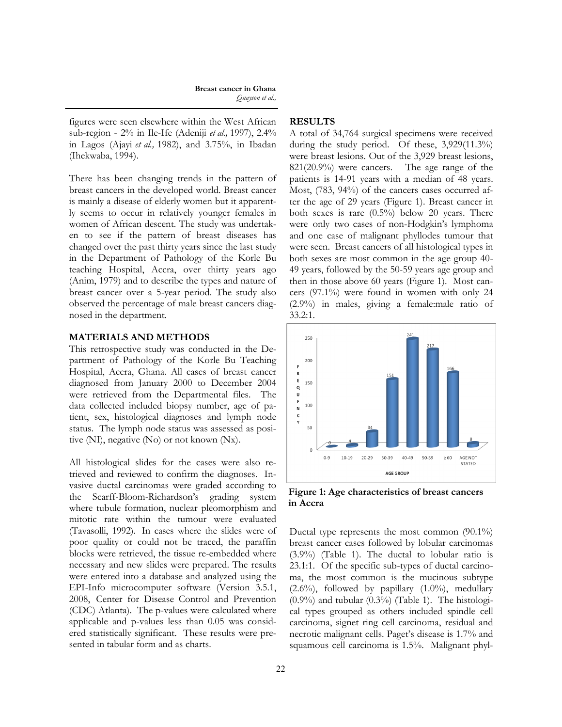#### **Breast cancer in Ghana** *Quayson et al.,*

figures were seen elsewhere within the West African sub-region - 2% in Ile-Ife (Adeniji *et al.,* 1997), 2.4% in Lagos (Ajayi *et al.,* 1982), and 3.75%, in Ibadan (Ihekwaba, 1994).

There has been changing trends in the pattern of breast cancers in the developed world. Breast cancer is mainly a disease of elderly women but it apparently seems to occur in relatively younger females in women of African descent. The study was undertaken to see if the pattern of breast diseases has changed over the past thirty years since the last study in the Department of Pathology of the Korle Bu teaching Hospital, Accra, over thirty years ago (Anim, 1979) and to describe the types and nature of breast cancer over a 5-year period. The study also observed the percentage of male breast cancers diagnosed in the department.

### **MATERIALS AND METHODS**

This retrospective study was conducted in the Department of Pathology of the Korle Bu Teaching Hospital, Accra, Ghana. All cases of breast cancer diagnosed from January 2000 to December 2004 were retrieved from the Departmental files. The data collected included biopsy number, age of patient, sex, histological diagnoses and lymph node status. The lymph node status was assessed as positive (NI), negative (No) or not known (Nx).

All histological slides for the cases were also retrieved and reviewed to confirm the diagnoses. Invasive ductal carcinomas were graded according to the Scarff-Bloom-Richardson"s grading system where tubule formation, nuclear pleomorphism and mitotic rate within the tumour were evaluated (Tavasolli, 1992). In cases where the slides were of poor quality or could not be traced, the paraffin blocks were retrieved, the tissue re-embedded where necessary and new slides were prepared. The results were entered into a database and analyzed using the EPI-Info microcomputer software (Version 3.5.1, 2008, Center for Disease Control and Prevention (CDC) Atlanta). The p-values were calculated where applicable and p-values less than 0.05 was considered statistically significant. These results were presented in tabular form and as charts.

## **RESULTS**

A total of 34,764 surgical specimens were received during the study period. Of these, 3,929(11.3%) were breast lesions. Out of the 3,929 breast lesions, 821(20.9%) were cancers. The age range of the patients is 14-91 years with a median of 48 years. Most, (783, 94%) of the cancers cases occurred after the age of 29 years (Figure 1). Breast cancer in both sexes is rare (0.5%) below 20 years. There were only two cases of non-Hodgkin's lymphoma and one case of malignant phyllodes tumour that were seen. Breast cancers of all histological types in both sexes are most common in the age group 40- 49 years, followed by the 50-59 years age group and then in those above 60 years (Figure 1). Most cancers (97.1%) were found in women with only 24 (2.9%) in males, giving a female:male ratio of 33.2:1.



**Figure 1: Age characteristics of breast cancers in Accra**

Ductal type represents the most common (90.1%) breast cancer cases followed by lobular carcinomas (3.9%) (Table 1). The ductal to lobular ratio is 23.1:1. Of the specific sub-types of ductal carcinoma, the most common is the mucinous subtype  $(2.6\%)$ , followed by papillary  $(1.0\%)$ , medullary  $(0.9\%)$  and tubular  $(0.3\%)$  (Table 1). The histological types grouped as others included spindle cell carcinoma, signet ring cell carcinoma, residual and necrotic malignant cells. Paget's disease is 1.7% and squamous cell carcinoma is 1.5%. Malignant phyl-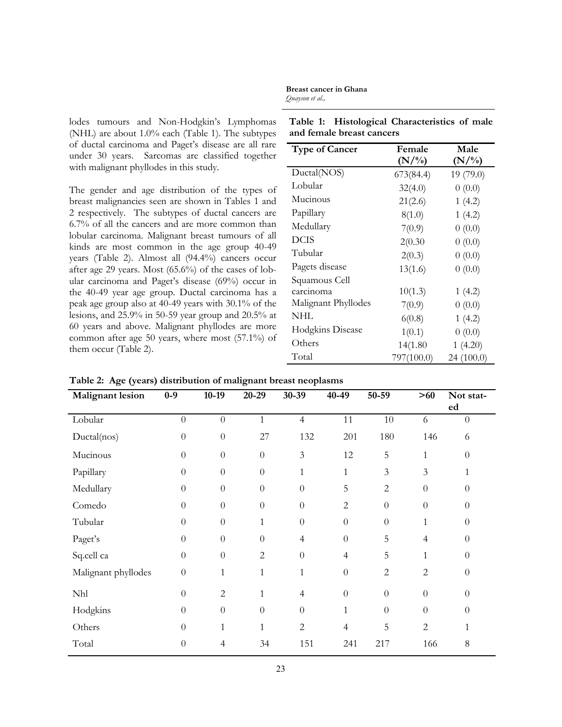lodes tumours and Non-Hodgkin's Lymphomas (NHL) are about 1.0% each (Table 1). The subtypes of ductal carcinoma and Paget's disease are all rare under 30 years. Sarcomas are classified together with malignant phyllodes in this study.

The gender and age distribution of the types of breast malignancies seen are shown in Tables 1 and 2 respectively. The subtypes of ductal cancers are 6.7% of all the cancers and are more common than lobular carcinoma. Malignant breast tumours of all kinds are most common in the age group 40-49 years (Table 2). Almost all (94.4%) cancers occur after age 29 years. Most (65.6%) of the cases of lobular carcinoma and Paget's disease (69%) occur in the 40-49 year age group. Ductal carcinoma has a peak age group also at 40-49 years with 30.1% of the lesions, and 25.9% in 50-59 year group and 20.5% at 60 years and above. Malignant phyllodes are more common after age 50 years, where most (57.1%) of them occur (Table 2).

**Table 1: Histological Characteristics of male and female breast cancers**

**Breast cancer in Ghana**

*Quayson et al.,*

| <b>Type of Cancer</b> | Female     | Male       |
|-----------------------|------------|------------|
|                       | $(N/\%)$   | $(N/\%)$   |
| Ductal(NOS)           | 673(84.4)  | 19 (79.0)  |
| Lobular               | 32(4.0)    | 0(0.0)     |
| Mucinous              | 21(2.6)    | 1(4.2)     |
| Papillary             | 8(1.0)     | 1(4.2)     |
| Medullary             | 7(0.9)     | 0(0.0)     |
| <b>DCIS</b>           | 2(0.30)    | 0(0.0)     |
| Tubular               | 2(0.3)     | 0(0.0)     |
| Pagets disease        | 13(1.6)    | 0(0.0)     |
| Squamous Cell         |            |            |
| carcinoma             | 10(1.3)    | 1(4.2)     |
| Malignant Phyllodes   | 7(0.9)     | 0(0.0)     |
| NHL                   | 6(0.8)     | 1(4.2)     |
| Hodgkins Disease      | 1(0.1)     | 0(0.0)     |
| Others                | 14(1.80)   | 1(4.20)    |
| Total                 | 797(100.0) | 24 (100.0) |

**Table 2: Age (years) distribution of malignant breast neoplasms**

| <b>Malignant</b> lesion | $0-9$            | $10-19$        | ັ<br>$20 - 29$   | $30 - 39$        | 40-49                    | 50-59            | >60            | Not stat-        |
|-------------------------|------------------|----------------|------------------|------------------|--------------------------|------------------|----------------|------------------|
|                         |                  |                |                  |                  |                          |                  |                | ed               |
| Lobular                 | $\boldsymbol{0}$ | $\theta$       | $\mathbf{1}$     | $\overline{4}$   | 11                       | $10\,$           | 6              | $\theta$         |
| Ductal(nos)             | $\boldsymbol{0}$ | $\theta$       | 27               | 132              | 201                      | 180              | 146            | 6                |
| Mucinous                | $\overline{0}$   | $\theta$       | $\boldsymbol{0}$ | $\mathfrak{Z}$   | 12                       | 5                | $\mathbf{1}$   | $\overline{0}$   |
| Papillary               | $\overline{0}$   | $\overline{0}$ | $\theta$         | 1                | $\mathbf{1}$             | $\mathfrak{Z}$   | $\mathfrak{Z}$ | 1                |
| Medullary               | $\theta$         | $\Omega$       | $\theta$         | $\overline{0}$   | 5                        | $\overline{2}$   | $\overline{0}$ | $\theta$         |
| Comedo                  | $\boldsymbol{0}$ | $\theta$       | $\overline{0}$   | $\theta$         | $\overline{c}$           | $\theta$         | $\theta$       | $\theta$         |
| Tubular                 | $\overline{0}$   | $\overline{0}$ | $\mathbf{1}$     | $\boldsymbol{0}$ | $\theta$                 | $\boldsymbol{0}$ | $\mathbf{1}$   | $\theta$         |
| Paget's                 | $\theta$         | $\Omega$       | $\theta$         | $\overline{4}$   | $\overline{0}$           | 5                | $\overline{4}$ | $\theta$         |
| Sq.cell ca              | $\boldsymbol{0}$ | $\theta$       | $\overline{2}$   | $\overline{0}$   | 4                        | 5                | $\mathbf{1}$   | $\theta$         |
| Malignant phyllodes     | $\boldsymbol{0}$ | 1              | $\mathbf{1}$     | $\mathbf{1}$     | $\theta$                 | $\overline{2}$   | $\overline{c}$ | $\boldsymbol{0}$ |
| Nhl                     | $\overline{0}$   | $\overline{c}$ | $\mathbf{1}$     | 4                | $\theta$                 | $\theta$         | $\theta$       | $\overline{0}$   |
| Hodgkins                | $\theta$         | $\theta$       | $\theta$         | $\overline{0}$   | $\mathbf{1}$             | $\overline{0}$   | $\overline{0}$ | $\theta$         |
| Others                  | $\theta$         |                | 1                | $\overline{2}$   | $\overline{\mathcal{L}}$ | 5                | $\sqrt{2}$     | 1                |
| Total                   | $\boldsymbol{0}$ | 4              | 34               | 151              | 241                      | 217              | 166            | 8                |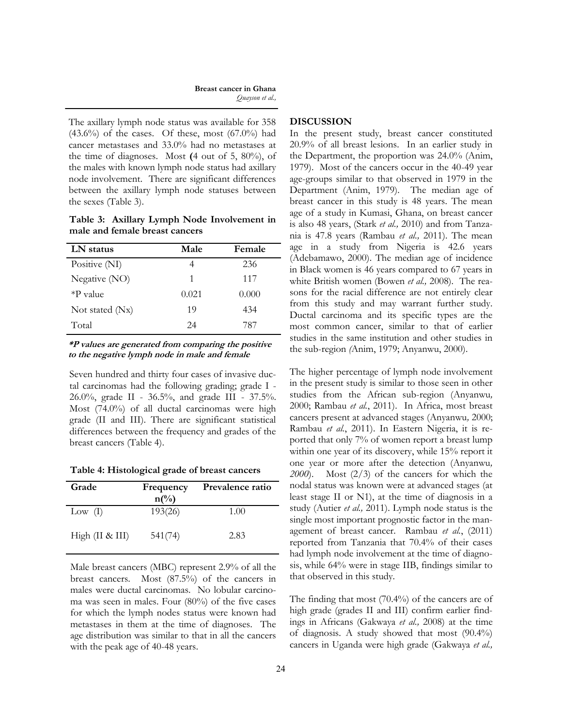#### **Breast cancer in Ghana** *Quayson et al.,*

The axillary lymph node status was available for 358  $(43.6\%)$  of the cases. Of these, most  $(67.0\%)$  had cancer metastases and 33.0% had no metastases at the time of diagnoses. Most **(**4 out of 5, 80%), of the males with known lymph node status had axillary node involvement. There are significant differences between the axillary lymph node statuses between the sexes (Table 3).

**Table 3: Axillary Lymph Node Involvement in male and female breast cancers**

| LN status         | Male  | Female |
|-------------------|-------|--------|
| Positive (NI)     |       | 236    |
| Negative (NO)     | 1     | 117    |
| $*P$ value        | 0.021 | 0.000  |
| Not stated $(Nx)$ | 19    | 434    |
| Total             | 24    | 787    |

**\*P values are generated from comparing the positive to the negative lymph node in male and female**

Seven hundred and thirty four cases of invasive ductal carcinomas had the following grading; grade I - 26.0%, grade II - 36.5%, and grade III - 37.5%. Most (74.0%) of all ductal carcinomas were high grade (II and III). There are significant statistical differences between the frequency and grades of the breast cancers (Table 4).

**Table 4: Histological grade of breast cancers**

| Grade             | Frequency<br>$n\binom{0}{0}$ | Prevalence ratio |
|-------------------|------------------------------|------------------|
| Low $(I)$         | 193(26)                      | 1.00             |
| High $(II & III)$ | 541(74)                      | 2.83             |

Male breast cancers (MBC) represent 2.9% of all the breast cancers. Most (87.5%) of the cancers in males were ductal carcinomas. No lobular carcinoma was seen in males. Four (80%) of the five cases for which the lymph nodes status were known had metastases in them at the time of diagnoses. The age distribution was similar to that in all the cancers with the peak age of 40-48 years.

### **DISCUSSION**

In the present study, breast cancer constituted 20.9% of all breast lesions. In an earlier study in the Department, the proportion was 24.0% (Anim, 1979). Most of the cancers occur in the 40-49 year age-groups similar to that observed in 1979 in the Department (Anim, 1979). The median age of breast cancer in this study is 48 years. The mean age of a study in Kumasi, Ghana, on breast cancer is also 48 years, (Stark *et al.,* 2010) and from Tanzania is 47.8 years (Rambau *et al.,* 2011). The mean age in a study from Nigeria is 42.6 years (Adebamawo, 2000). The median age of incidence in Black women is 46 years compared to 67 years in white British women (Bowen *et al.,* 2008).The reasons for the racial difference are not entirely clear from this study and may warrant further study. Ductal carcinoma and its specific types are the most common cancer, similar to that of earlier studies in the same institution and other studies in the sub-region *(*Anim, 1979; Anyanwu, 2000).

The higher percentage of lymph node involvement in the present study is similar to those seen in other studies from the African sub-region (Anyanwu*,*  2000; Rambau *et al.*, 2011). In Africa, most breast cancers present at advanced stages (Anyanwu*,* 2000; Rambau *et al.*, 2011). In Eastern Nigeria, it is reported that only 7% of women report a breast lump within one year of its discovery, while 15% report it one year or more after the detection (Anyanwu*, 2000*). Most (2/3) of the cancers for which the nodal status was known were at advanced stages (at least stage II or N1), at the time of diagnosis in a study (Autier *et al.,* 2011). Lymph node status is the single most important prognostic factor in the management of breast cancer. Rambau *et al.*, (2011) reported from Tanzania that 70.4% of their cases had lymph node involvement at the time of diagnosis, while 64% were in stage IIB, findings similar to that observed in this study.

The finding that most (70.4%) of the cancers are of high grade (grades II and III) confirm earlier findings in Africans (Gakwaya *et al.,* 2008) at the time of diagnosis. A study showed that most (90.4%) cancers in Uganda were high grade (Gakwaya *et al.,*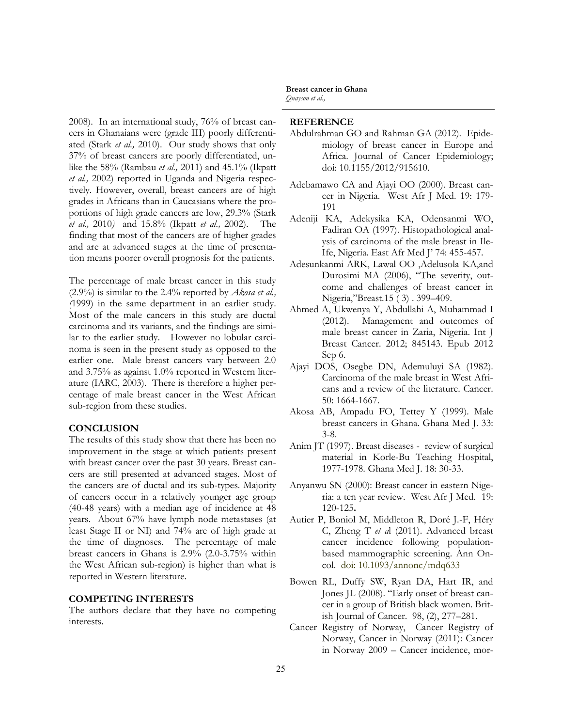2008). In an international study, 76% of breast cancers in Ghanaians were (grade III) poorly differentiated (Stark *et al.,* 2010). Our study shows that only 37% of breast cancers are poorly differentiated, unlike the 58% (Rambau *et al.,* 2011) and 45.1% (Ikpatt *et al.,* 2002) reported in Uganda and Nigeria respectively. However, overall, breast cancers are of high grades in Africans than in Caucasians where the proportions of high grade cancers are low, 29.3% (Stark *et al.,* 2010*)* and 15.8% (Ikpatt *et al.,* 2002). The finding that most of the cancers are of higher grades and are at advanced stages at the time of presentation means poorer overall prognosis for the patients.

The percentage of male breast cancer in this study (2.9%) is similar to the 2.4% reported by *Akosa et al., (*1999) in the same department in an earlier study. Most of the male cancers in this study are ductal carcinoma and its variants, and the findings are similar to the earlier study. However no lobular carcinoma is seen in the present study as opposed to the earlier one. Male breast cancers vary between 2.0 and 3.75% as against 1.0% reported in Western literature (IARC, 2003). There is therefore a higher percentage of male breast cancer in the West African sub-region from these studies.

### **CONCLUSION**

The results of this study show that there has been no improvement in the stage at which patients present with breast cancer over the past 30 years. Breast cancers are still presented at advanced stages. Most of the cancers are of ductal and its sub-types. Majority of cancers occur in a relatively younger age group (40-48 years) with a median age of incidence at 48 years. About 67% have lymph node metastases (at least Stage II or NI) and 74% are of high grade at the time of diagnoses. The percentage of male breast cancers in Ghana is 2.9% (2.0-3.75% within the West African sub-region) is higher than what is reported in Western literature.

#### **COMPETING INTERESTS**

The authors declare that they have no competing interests.

## **Breast cancer in Ghana**

*Quayson et al.,*

### **REFERENCE**

- Abdulrahman GO and Rahman GA (2012). Epidemiology of breast cancer in Europe and Africa. Journal of Cancer Epidemiology; doi: 10.1155/2012/915610.
- Adebamawo CA and Ajayi OO (2000). Breast cancer in Nigeria. West Afr J Med. 19: 179- 191
- Adeniji KA, Adekysika KA, Odensanmi WO, Fadiran OA (1997). Histopathological analysis of carcinoma of the male breast in Ile-Ife, Nigeria. East Afr Med J" 74: 455-457.
- Adesunkanmi ARK, Lawal OO ,Adelusola KA,and Durosimi MA (2006), "The severity, outcome and challenges of breast cancer in Nigeria,"Breast.15 ( 3) . 399–409.
- Ahmed A, Ukwenya Y, Abdullahi A, Muhammad I (2012). Management and outcomes of male breast cancer in Zaria, Nigeria. Int J Breast Cancer. 2012; 845143. Epub 2012 Sep 6.
- Ajayi DOS, Osegbe DN, Ademuluyi SA (1982). Carcinoma of the male breast in West Africans and a review of the literature. Cancer. 50: 1664-1667.
- Akosa AB, Ampadu FO, Tettey Y (1999). Male breast cancers in Ghana. Ghana Med J. 33: 3-8.
- Anim JT (1997). Breast diseases review of surgical material in Korle-Bu Teaching Hospital, 1977-1978. Ghana Med J. 18: 30-33.
- Anyanwu SN (2000): Breast cancer in eastern Nigeria: a ten year review. West Afr J Med. 19: 120-125**.**
- Autier P, Boniol M, Middleton R, Doré J.-F, Héry C, Zheng T *et a*l (2011). Advanced breast cancer incidence following populationbased mammographic screening. Ann Oncol. doi: 10.1093/annonc/mdq633
- Bowen RL, Duffy SW, Ryan DA, Hart IR, and Jones JL (2008). "Early onset of breast cancer in a group of British black women. British Journal of Cancer. 98, (2), 277–281.
- Cancer Registry of Norway, Cancer Registry of Norway, Cancer in Norway (2011): Cancer in Norway 2009 – Cancer incidence, mor-